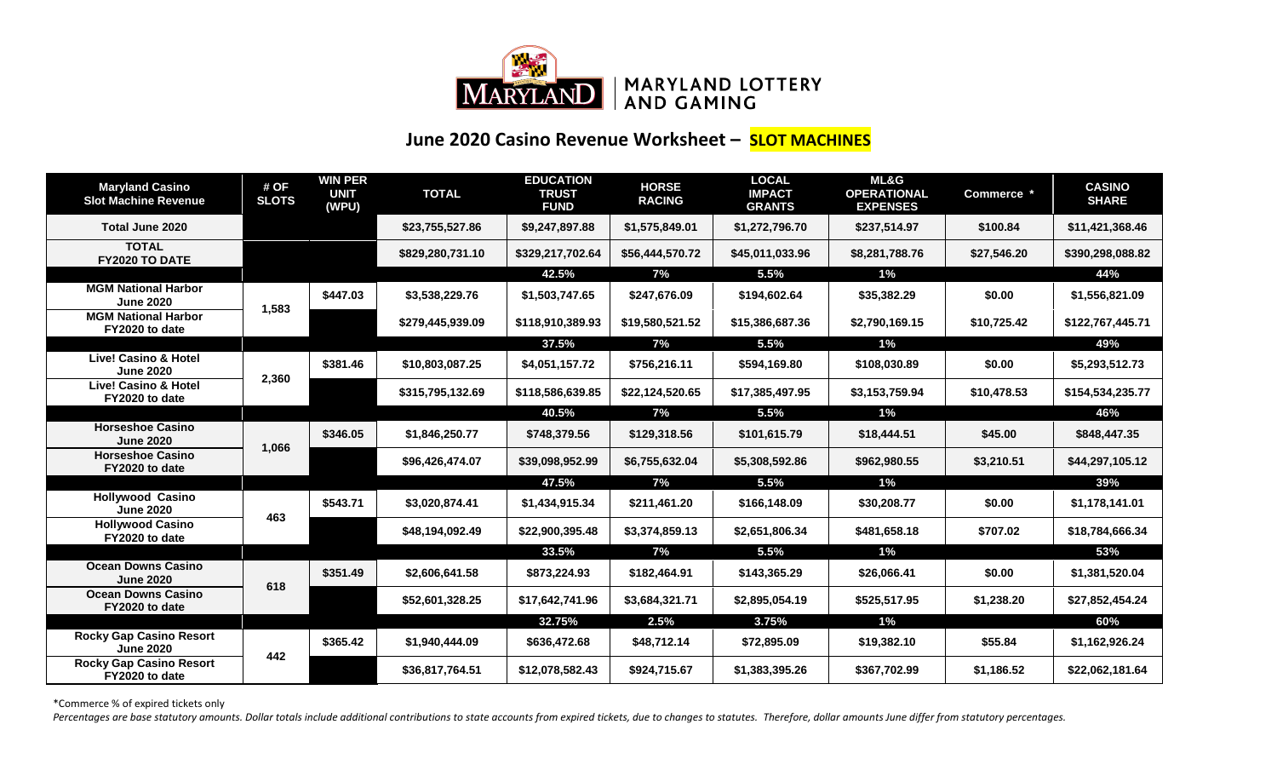

## **June 2020 Casino Revenue Worksheet – SLOT MACHINES**

| <b>Maryland Casino</b><br><b>Slot Machine Revenue</b> | # OF<br><b>SLOTS</b> | <b>WIN PER</b><br><b>UNIT</b><br>(WPU) | <b>TOTAL</b>     | <b>EDUCATION</b><br><b>TRUST</b><br><b>FUND</b> | <b>HORSE</b><br><b>RACING</b> | <b>LOCAL</b><br><b>IMPACT</b><br><b>GRANTS</b> | ML&G<br><b>OPERATIONAL</b><br><b>EXPENSES</b> | Commerce *  | <b>CASINO</b><br><b>SHARE</b> |
|-------------------------------------------------------|----------------------|----------------------------------------|------------------|-------------------------------------------------|-------------------------------|------------------------------------------------|-----------------------------------------------|-------------|-------------------------------|
| Total June 2020                                       |                      |                                        | \$23,755,527.86  | \$9,247,897.88                                  | \$1,575,849.01                | \$1,272,796.70                                 | \$237,514.97                                  | \$100.84    | \$11,421,368.46               |
| <b>TOTAL</b><br>FY2020 TO DATE                        |                      |                                        | \$829,280,731.10 | \$329,217,702.64                                | \$56,444,570.72               | \$45,011,033.96                                | \$8,281,788.76                                | \$27,546.20 | \$390,298,088.82              |
|                                                       |                      |                                        |                  | 42.5%                                           | 7%                            | 5.5%                                           | $1\%$                                         |             | 44%                           |
| <b>MGM National Harbor</b><br><b>June 2020</b>        | 1,583                | \$447.03                               | \$3,538,229.76   | \$1,503,747.65                                  | \$247,676.09                  | \$194,602.64                                   | \$35,382.29                                   | \$0.00      | \$1,556,821.09                |
| <b>MGM National Harbor</b><br>FY2020 to date          |                      |                                        | \$279,445,939.09 | \$118,910,389.93                                | \$19,580,521.52               | \$15,386,687.36                                | \$2,790,169.15                                | \$10,725.42 | \$122,767,445.71              |
|                                                       |                      |                                        |                  | 37.5%                                           | 7%                            | 5.5%                                           | $1\%$                                         |             | 49%                           |
| <b>Live! Casino &amp; Hotel</b><br><b>June 2020</b>   | 2,360                | \$381.46                               | \$10,803,087.25  | \$4,051,157.72                                  | \$756,216.11                  | \$594,169.80                                   | \$108,030.89                                  | \$0.00      | \$5,293,512.73                |
| <b>Live! Casino &amp; Hotel</b><br>FY2020 to date     |                      |                                        | \$315,795,132.69 | \$118,586,639.85                                | \$22,124,520.65               | \$17,385,497.95                                | \$3,153,759.94                                | \$10,478.53 | \$154,534,235.77              |
|                                                       |                      |                                        |                  | 40.5%                                           | 7%                            | 5.5%                                           | $1\%$                                         |             | 46%                           |
| <b>Horseshoe Casino</b><br><b>June 2020</b>           | 1,066                | \$346.05                               | \$1,846,250.77   | \$748,379.56                                    | \$129,318.56                  | \$101,615.79                                   | \$18,444.51                                   | \$45.00     | \$848,447.35                  |
| <b>Horseshoe Casino</b><br>FY2020 to date             |                      |                                        | \$96,426,474.07  | \$39,098,952.99                                 | \$6,755,632.04                | \$5,308,592.86                                 | \$962,980.55                                  | \$3,210.51  | \$44,297,105.12               |
|                                                       |                      |                                        |                  | 47.5%                                           | 7%                            | 5.5%                                           | $1\%$                                         |             | 39%                           |
| <b>Hollywood Casino</b><br><b>June 2020</b>           |                      | \$543.71                               | \$3,020,874.41   | \$1,434,915.34                                  | \$211,461.20                  | \$166,148.09                                   | \$30,208.77                                   | \$0.00      | \$1,178,141.01                |
| <b>Hollywood Casino</b><br>FY2020 to date             | 463                  |                                        | \$48,194,092.49  | \$22,900,395.48                                 | \$3,374,859.13                | \$2,651,806.34                                 | \$481,658.18                                  | \$707.02    | \$18,784,666.34               |
|                                                       |                      |                                        |                  | 33.5%                                           | 7%                            | 5.5%                                           | $1\%$                                         |             | 53%                           |
| <b>Ocean Downs Casino</b><br><b>June 2020</b>         |                      | \$351.49                               | \$2,606,641.58   | \$873,224.93                                    | \$182,464.91                  | \$143,365.29                                   | \$26,066.41                                   | \$0.00      | \$1,381,520.04                |
| <b>Ocean Downs Casino</b><br>FY2020 to date           | 618                  |                                        | \$52,601,328.25  | \$17,642,741.96                                 | \$3,684,321.71                | \$2,895,054.19                                 | \$525,517.95                                  | \$1,238.20  | \$27,852,454.24               |
|                                                       |                      |                                        |                  | 32.75%                                          | 2.5%                          | 3.75%                                          | $1\%$                                         |             | 60%                           |
| <b>Rocky Gap Casino Resort</b><br><b>June 2020</b>    | 442                  | \$365.42                               | \$1,940,444.09   | \$636,472.68                                    | \$48,712.14                   | \$72,895.09                                    | \$19,382.10                                   | \$55.84     | \$1,162,926.24                |
| <b>Rocky Gap Casino Resort</b><br>FY2020 to date      |                      |                                        | \$36,817,764.51  | \$12,078,582.43                                 | \$924,715.67                  | \$1,383,395.26                                 | \$367,702.99                                  | \$1,186.52  | \$22,062,181.64               |

\*Commerce % of expired tickets only

Percentages are base statutory amounts. Dollar totals include additional contributions to state accounts from expired tickets, due to changes to statutes. Therefore, dollar amounts June differ from statutory percentages.